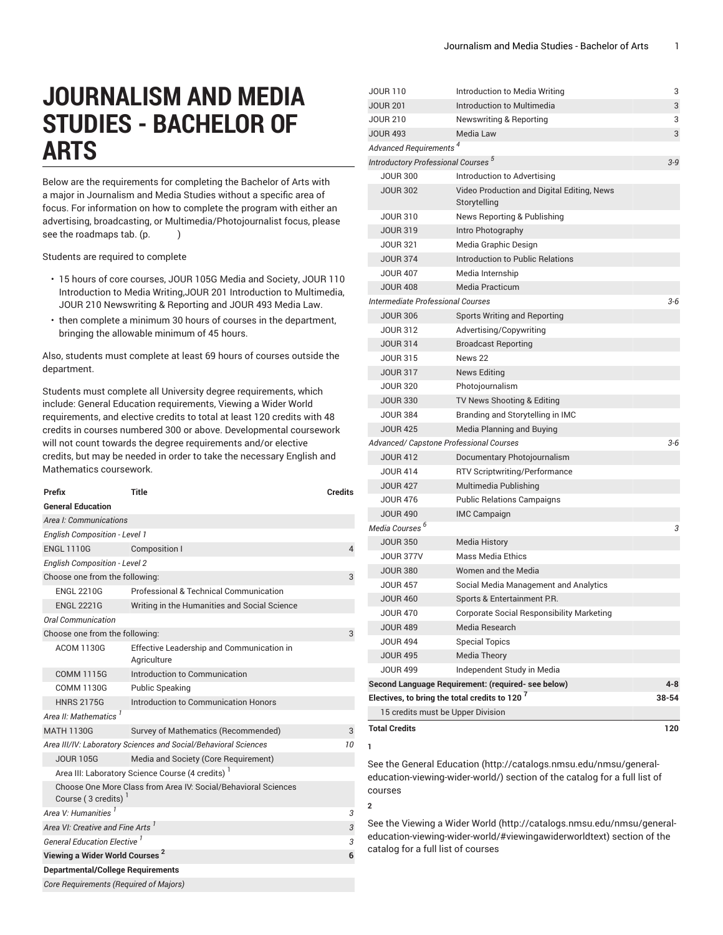# **JOURNALISM AND MEDIA STUDIES - BACHELOR OF ARTS**

Below are the requirements for completing the Bachelor of Arts with a major in Journalism and Media Studies without a specific area of focus. For information on how to complete the program with either an advertising, broadcasting, or Multimedia/Photojournalist focus, please see the roadmaps tab. (p.  $)$ 

Students are required to complete

- 15 hours of core courses, JOUR 105G Media and Society, JOUR 110 Introduction to Media Writing,JOUR 201 Introduction to Multimedia, JOUR 210 Newswriting & Reporting and JOUR 493 Media Law.
- then complete a minimum 30 hours of courses in the department, bringing the allowable minimum of 45 hours.

Also, students must complete at least 69 hours of courses outside the department.

Students must complete all University degree requirements, which include: General Education requirements, Viewing a Wider World requirements, and elective credits to total at least 120 credits with 48 credits in courses numbered 300 or above. Developmental coursework will not count towards the degree requirements and/or elective credits, but may be needed in order to take the necessary English and Mathematics coursework.

| Prefix                                                                | <b>Title</b>                                                   | <b>Credits</b> |  |
|-----------------------------------------------------------------------|----------------------------------------------------------------|----------------|--|
| <b>General Education</b>                                              |                                                                |                |  |
| Area I: Communications                                                |                                                                |                |  |
| <b>English Composition - Level 1</b>                                  |                                                                |                |  |
| <b>ENGL 1110G</b>                                                     | Composition I                                                  | $\overline{4}$ |  |
| <b>English Composition - Level 2</b>                                  |                                                                |                |  |
| Choose one from the following:                                        |                                                                | 3              |  |
| <b>ENGL 2210G</b>                                                     | Professional & Technical Communication                         |                |  |
| <b>ENGL 2221G</b>                                                     | Writing in the Humanities and Social Science                   |                |  |
| <b>Oral Communication</b>                                             |                                                                |                |  |
| Choose one from the following:                                        |                                                                | 3              |  |
| <b>ACOM 1130G</b>                                                     | Effective Leadership and Communication in<br>Agriculture       |                |  |
| <b>COMM 1115G</b>                                                     | Introduction to Communication                                  |                |  |
| <b>COMM 1130G</b>                                                     | <b>Public Speaking</b>                                         |                |  |
| <b>HNRS 2175G</b>                                                     | Introduction to Communication Honors                           |                |  |
| Area II: Mathematics <sup>1</sup>                                     |                                                                |                |  |
| <b>MATH 1130G</b>                                                     | Survey of Mathematics (Recommended)                            | 3              |  |
| Area III/IV: Laboratory Sciences and Social/Behavioral Sciences<br>10 |                                                                |                |  |
| <b>JOUR 105G</b>                                                      | Media and Society (Core Requirement)                           |                |  |
| Area III: Laboratory Science Course (4 credits)                       |                                                                |                |  |
| Course (3 credits)                                                    | Choose One More Class from Area IV: Social/Behavioral Sciences |                |  |
| Area V: Humanities <sup>1</sup>                                       |                                                                | 3              |  |
| Area VI: Creative and Fine Arts <sup>1</sup>                          |                                                                |                |  |
| <b>General Education Elective</b> <sup>1</sup>                        |                                                                |                |  |
| Viewing a Wider World Courses <sup>2</sup>                            |                                                                |                |  |
| <b>Departmental/College Requirements</b>                              |                                                                |                |  |
| <b>Core Requirements (Required of Majors)</b>                         |                                                                |                |  |

| JOUR 110                                                  | Introduction to Media Writing                      | 3       |
|-----------------------------------------------------------|----------------------------------------------------|---------|
| <b>JOUR 201</b>                                           | Introduction to Multimedia                         | 3       |
| <b>JOUR 210</b>                                           | <b>Newswriting &amp; Reporting</b>                 | 3       |
| <b>JOUR 493</b>                                           | <b>Media Law</b>                                   | 3       |
| <b>Advanced Requirements</b>                              |                                                    |         |
| <b>Introductory Professional Courses<sup>5</sup></b>      |                                                    | $3 - 9$ |
| <b>JOUR 300</b>                                           | Introduction to Advertising                        |         |
| <b>JOUR 302</b>                                           | Video Production and Digital Editing, News         |         |
|                                                           | Storytelling                                       |         |
| <b>JOUR 310</b>                                           | News Reporting & Publishing                        |         |
| <b>JOUR 319</b>                                           | Intro Photography                                  |         |
| <b>JOUR 321</b>                                           | Media Graphic Design                               |         |
| <b>JOUR 374</b>                                           | Introduction to Public Relations                   |         |
| <b>JOUR 407</b>                                           | Media Internship                                   |         |
| <b>JOUR 408</b>                                           | <b>Media Practicum</b>                             |         |
| <b>Intermediate Professional Courses</b>                  |                                                    | $3 - 6$ |
| <b>JOUR 306</b>                                           | <b>Sports Writing and Reporting</b>                |         |
| <b>JOUR 312</b>                                           | Advertising/Copywriting                            |         |
| <b>JOUR 314</b>                                           | <b>Broadcast Reporting</b>                         |         |
| <b>JOUR 315</b>                                           | News 22                                            |         |
| <b>JOUR 317</b>                                           | News Editing                                       |         |
| <b>JOUR 320</b>                                           | Photojournalism                                    |         |
| <b>JOUR 330</b>                                           | TV News Shooting & Editing                         |         |
| <b>JOUR 384</b>                                           | Branding and Storytelling in IMC                   |         |
| <b>JOUR 425</b>                                           | Media Planning and Buying                          |         |
| Advanced/ Capstone Professional Courses                   |                                                    | $3 - 6$ |
| <b>JOUR 412</b>                                           | Documentary Photojournalism                        |         |
| <b>JOUR 414</b>                                           | <b>RTV Scriptwriting/Performance</b>               |         |
| <b>JOUR 427</b>                                           | Multimedia Publishing                              |         |
| <b>JOUR 476</b>                                           | <b>Public Relations Campaigns</b>                  |         |
| <b>JOUR 490</b>                                           | <b>IMC Campaign</b>                                |         |
| Media Courses <sup>b</sup>                                |                                                    | 3       |
| <b>JOUR 350</b>                                           | Media History                                      |         |
| <b>JOUR 377V</b>                                          | <b>Mass Media Ethics</b>                           |         |
| <b>JOUR 380</b>                                           | Women and the Media                                |         |
| <b>JOUR 457</b>                                           | Social Media Management and Analytics              |         |
| <b>JOUR 460</b>                                           | Sports & Entertainment P.R.                        |         |
| <b>JOUR 470</b>                                           | Corporate Social Responsibility Marketing          |         |
| <b>JOUR 489</b>                                           | Media Research                                     |         |
| <b>JOUR 494</b>                                           | <b>Special Topics</b>                              |         |
| <b>JOUR 495</b>                                           | <b>Media Theory</b>                                |         |
| <b>JOUR 499</b>                                           | Independent Study in Media                         |         |
|                                                           | Second Language Requirement: (required- see below) | 4-8     |
| Electives, to bring the total credits to 120 <sup>7</sup> |                                                    |         |
| 15 credits must be Upper Division                         |                                                    |         |
| <b>Total Credits</b>                                      |                                                    | 120     |
|                                                           |                                                    |         |
| 1                                                         |                                                    |         |

See the General [Education](http://catalogs.nmsu.edu/nmsu/general-education-viewing-wider-world/) ([http://catalogs.nmsu.edu/nmsu/general](http://catalogs.nmsu.edu/nmsu/general-education-viewing-wider-world/)[education-viewing-wider-world/\)](http://catalogs.nmsu.edu/nmsu/general-education-viewing-wider-world/) section of the catalog for a full list of courses

**2**

See the [Viewing](http://catalogs.nmsu.edu/nmsu/general-education-viewing-wider-world/#viewingawiderworldtext) a Wider World [\(http://catalogs.nmsu.edu/nmsu/general](http://catalogs.nmsu.edu/nmsu/general-education-viewing-wider-world/#viewingawiderworldtext)[education-viewing-wider-world/#viewingawiderworldtext\)](http://catalogs.nmsu.edu/nmsu/general-education-viewing-wider-world/#viewingawiderworldtext) section of the catalog for a full list of courses